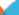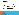# **VISION AND MISSION**

The **Community Development Alliance** is a vehicle for cross-sector collaboration to improve the quality of life in Milwaukee's neighborhoods.

The **vision** of the CDA is that all Milwaukee neighborhoods are safe places to live, work, learn, worship and play; and provide opportunities for people of all races and income levels to lead healthy, productive lives.

The **mission** of the CDA is to build Milwaukee's community development sector. CDA's work is focused on three key tasks:

- Advocating for leverage and alignment of resources
- Improving data collection and performance measurement
- Building the capacity of community organizations and neighborhood residents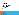## **APPROACH**

Rather than implement projects, the CDA works to:

- Identify projects and opportunities
- Help attract national and local resources
- When appropriate, identify intermediaries and other organizations to pursue opportunities or carry out the projects.

#### Operates as "**virtual organization**"

Began with the collective impact model in mind, now seeks to align and support multiple efforts to achieve collective impact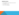# **PRIORITIES FOR 2017**

- 1. Build the **infrastructure** of capacity building and data intermediaries
- 2. Expand **funding** for these efforts
- 3. Continue to build the **CDA network**

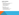## **SHARED LEADERSHIP**

CDA executive committee:

- **Martha Brown, City of Milwaukee, Department of City Development**
- **Eic Christophersen, Northwestern Mutual Foundation**
- **Bridget Clementi, Children's Hospital of Wisconsin**
- **Kathryn Dunn, Greater Milwaukee Foundation**
- **Susan Lloyd, Zilber Family Foundation**
- **Donsia Strong Hill, LISC Milwaukee**
- **Julia Taylor, Greater Milwaukee Committee**

CDA program committee:

- **Maggie Dauss, Greater Milwaukee Committee**
- **Erin Frederick, Zilber Family Foundation**
- **-** Dawn Hutchinson-Weiss, LISC Milwaukee
- **Sam Leichtling, Milwaukee Department of City Development**
- **-** Darlene Russell, Greater Milwaukee Foundation
- **-** LaQuondra Shaw, Northwestern Mutual Foundation